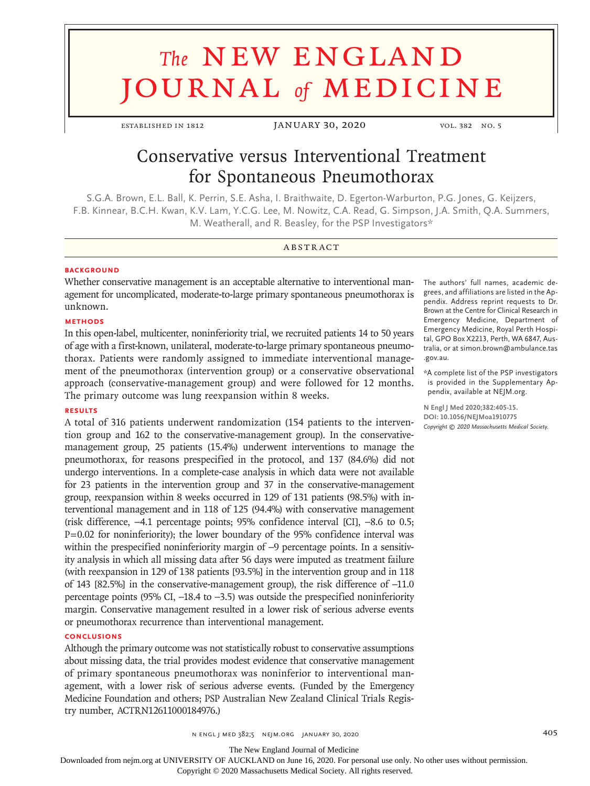# **The NEW ENGLAND** journal *of* medicine

ESTABLISHED IN 1812 JANUARY 30, 2020 VOL. 382 NO. 5

## Conservative versus Interventional Treatment for Spontaneous Pneumothorax

S.G.A. Brown, E.L. Ball, K. Perrin, S.E. Asha, I. Braithwaite, D. Egerton‑Warburton, P.G. Jones, G. Keijzers, F.B. Kinnear, B.C.H. Kwan, K.V. Lam, Y.C.G. Lee, M. Nowitz, C.A. Read, G. Simpson, J.A. Smith, Q.A. Summers, M. Weatherall, and R. Beasley, for the PSP Investigators\*

### **ABSTRACT**

#### **BACKGROUND**

Whether conservative management is an acceptable alternative to interventional management for uncomplicated, moderate-to-large primary spontaneous pneumothorax is unknown.

#### **METHODS**

In this open-label, multicenter, noninferiority trial, we recruited patients 14 to 50 years of age with a first-known, unilateral, moderate-to-large primary spontaneous pneumothorax. Patients were randomly assigned to immediate interventional management of the pneumothorax (intervention group) or a conservative observational approach (conservative-management group) and were followed for 12 months. The primary outcome was lung reexpansion within 8 weeks.

#### **RESULTS**

A total of 316 patients underwent randomization (154 patients to the intervention group and 162 to the conservative-management group). In the conservativemanagement group, 25 patients (15.4%) underwent interventions to manage the pneumothorax, for reasons prespecified in the protocol, and 137 (84.6%) did not undergo interventions. In a complete-case analysis in which data were not available for 23 patients in the intervention group and 37 in the conservative-management group, reexpansion within 8 weeks occurred in 129 of 131 patients (98.5%) with interventional management and in 118 of 125 (94.4%) with conservative management (risk difference, −4.1 percentage points; 95% confidence interval [CI], −8.6 to 0.5; P=0.02 for noninferiority); the lower boundary of the 95% confidence interval was within the prespecified noninferiority margin of -9 percentage points. In a sensitivity analysis in which all missing data after 56 days were imputed as treatment failure (with reexpansion in 129 of 138 patients [93.5%] in the intervention group and in 118 of 143 [82.5%] in the conservative-management group), the risk difference of −11.0 percentage points (95% CI, −18.4 to −3.5) was outside the prespecified noninferiority margin. Conservative management resulted in a lower risk of serious adverse events or pneumothorax recurrence than interventional management.

#### **CONCLUSIONS**

Although the primary outcome was not statistically robust to conservative assumptions about missing data, the trial provides modest evidence that conservative management of primary spontaneous pneumothorax was noninferior to interventional management, with a lower risk of serious adverse events. (Funded by the Emergency Medicine Foundation and others; PSP Australian New Zealand Clinical Trials Registry number, ACTRN12611000184976.)

The authors' full names, academic degrees, and affiliations are listed in the Ap‑ pendix. Address reprint requests to Dr. Brown at the Centre for Clinical Research in Emergency Medicine, Department of Emergency Medicine, Royal Perth Hospi‑ tal, GPO Box X2213, Perth, WA 6847, Australia, or at simon.brown@ambulance.tas .gov.au.

\*A complete list of the PSP investigators is provided in the Supplementary Appendix, available at NEJM.org.

**N Engl J Med 2020;382:405-15. DOI: 10.1056/NEJMoa1910775** *Copyright © 2020 Massachusetts Medical Society.*

n engl j med 382;5 nejm.org January 30, 2020 405

The New England Journal of Medicine

Downloaded from nejm.org at UNIVERSITY OF AUCKLAND on June 16, 2020. For personal use only. No other uses without permission.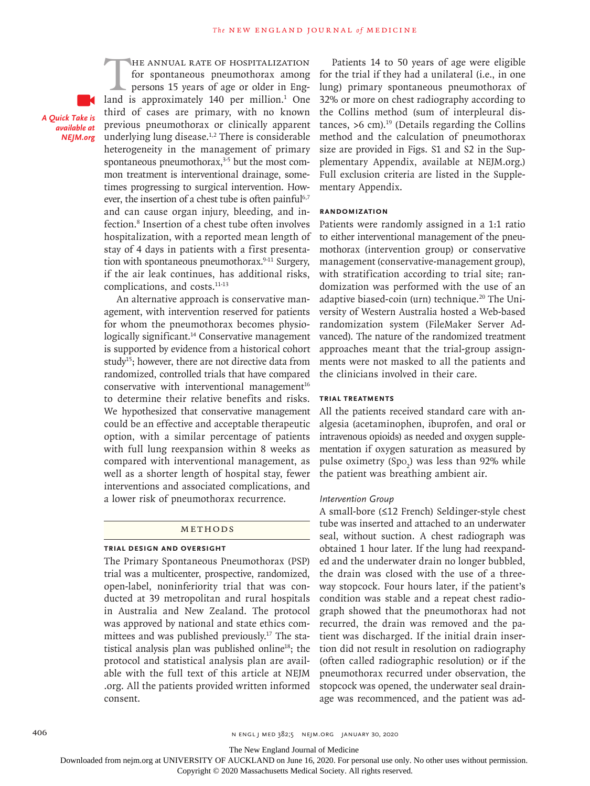*A Quick Take is available at NEJM.org*

THE ANNUAL RATE OF HOSPITALIZATION<br>for spontaneous pneumothorax among<br>persons 15 years of age or older in Eng-<br>land is approximately 140 per million.<sup>1</sup> One for spontaneous pneumothorax among persons 15 years of age or older in England is approximately 140 per million.<sup>1</sup> One third of cases are primary, with no known previous pneumothorax or clinically apparent underlying lung disease.1,2 There is considerable heterogeneity in the management of primary spontaneous pneumothorax, $3-5$  but the most common treatment is interventional drainage, sometimes progressing to surgical intervention. However, the insertion of a chest tube is often painful<sup>6,7</sup> and can cause organ injury, bleeding, and infection.8 Insertion of a chest tube often involves hospitalization, with a reported mean length of stay of 4 days in patients with a first presentation with spontaneous pneumothorax.9-11 Surgery, if the air leak continues, has additional risks, complications, and costs.<sup>11-13</sup>

An alternative approach is conservative management, with intervention reserved for patients for whom the pneumothorax becomes physiologically significant.<sup>14</sup> Conservative management is supported by evidence from a historical cohort study<sup>15</sup>; however, there are not directive data from randomized, controlled trials that have compared conservative with interventional management $16$ to determine their relative benefits and risks. We hypothesized that conservative management could be an effective and acceptable therapeutic option, with a similar percentage of patients with full lung reexpansion within 8 weeks as compared with interventional management, as well as a shorter length of hospital stay, fewer interventions and associated complications, and a lower risk of pneumothorax recurrence.

#### Methods

#### **Trial Design and Oversight**

The Primary Spontaneous Pneumothorax (PSP) trial was a multicenter, prospective, randomized, open-label, noninferiority trial that was conducted at 39 metropolitan and rural hospitals in Australia and New Zealand. The protocol was approved by national and state ethics committees and was published previously.17 The statistical analysis plan was published online<sup>18</sup>; the protocol and statistical analysis plan are available with the full text of this article at NEJM .org. All the patients provided written informed consent.

Patients 14 to 50 years of age were eligible for the trial if they had a unilateral (i.e., in one lung) primary spontaneous pneumothorax of 32% or more on chest radiography according to the Collins method (sum of interpleural distances,  $>6$  cm).<sup>19</sup> (Details regarding the Collins method and the calculation of pneumothorax size are provided in Figs. S1 and S2 in the Supplementary Appendix, available at NEJM.org.) Full exclusion criteria are listed in the Supplementary Appendix.

#### **Randomization**

Patients were randomly assigned in a 1:1 ratio to either interventional management of the pneumothorax (intervention group) or conservative management (conservative-management group), with stratification according to trial site; randomization was performed with the use of an adaptive biased-coin (urn) technique.<sup>20</sup> The University of Western Australia hosted a Web-based randomization system (FileMaker Server Advanced). The nature of the randomized treatment approaches meant that the trial-group assignments were not masked to all the patients and the clinicians involved in their care.

#### **Trial Treatments**

All the patients received standard care with analgesia (acetaminophen, ibuprofen, and oral or intravenous opioids) as needed and oxygen supplementation if oxygen saturation as measured by pulse oximetry  $(Spo<sub>2</sub>)$  was less than 92% while the patient was breathing ambient air.

#### *Intervention Group*

A small-bore (≤12 French) Seldinger-style chest tube was inserted and attached to an underwater seal, without suction. A chest radiograph was obtained 1 hour later. If the lung had reexpanded and the underwater drain no longer bubbled, the drain was closed with the use of a threeway stopcock. Four hours later, if the patient's condition was stable and a repeat chest radiograph showed that the pneumothorax had not recurred, the drain was removed and the patient was discharged. If the initial drain insertion did not result in resolution on radiography (often called radiographic resolution) or if the pneumothorax recurred under observation, the stopcock was opened, the underwater seal drainage was recommenced, and the patient was ad-

The New England Journal of Medicine

Downloaded from nejm.org at UNIVERSITY OF AUCKLAND on June 16, 2020. For personal use only. No other uses without permission.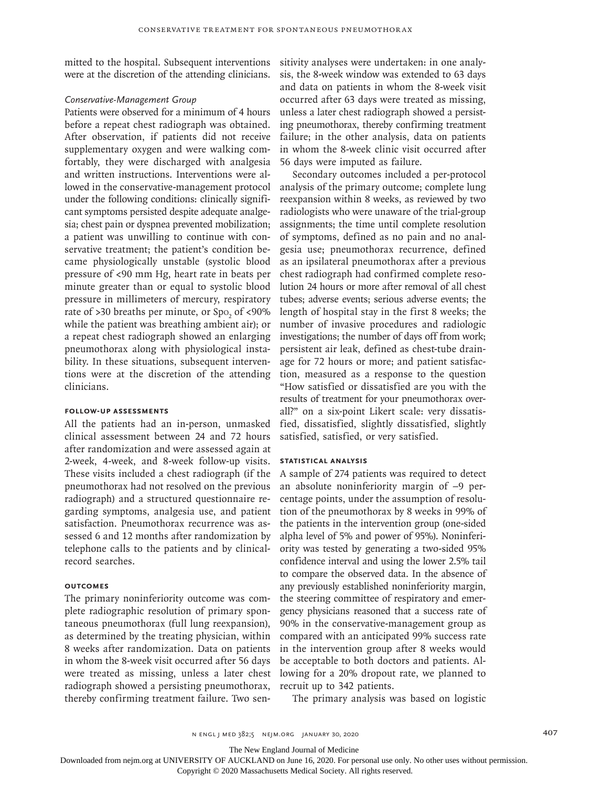mitted to the hospital. Subsequent interventions were at the discretion of the attending clinicians.

#### *Conservative-Management Group*

Patients were observed for a minimum of 4 hours before a repeat chest radiograph was obtained. After observation, if patients did not receive supplementary oxygen and were walking comfortably, they were discharged with analgesia and written instructions. Interventions were allowed in the conservative-management protocol under the following conditions: clinically significant symptoms persisted despite adequate analgesia; chest pain or dyspnea prevented mobilization; a patient was unwilling to continue with conservative treatment; the patient's condition became physiologically unstable (systolic blood pressure of <90 mm Hg, heart rate in beats per minute greater than or equal to systolic blood pressure in millimeters of mercury, respiratory rate of >30 breaths per minute, or  $Spo_2$  of <90% while the patient was breathing ambient air); or a repeat chest radiograph showed an enlarging pneumothorax along with physiological instability. In these situations, subsequent interventions were at the discretion of the attending clinicians.

#### **Follow-up Assessments**

All the patients had an in-person, unmasked clinical assessment between 24 and 72 hours after randomization and were assessed again at 2-week, 4-week, and 8-week follow-up visits. These visits included a chest radiograph (if the pneumothorax had not resolved on the previous radiograph) and a structured questionnaire regarding symptoms, analgesia use, and patient satisfaction. Pneumothorax recurrence was assessed 6 and 12 months after randomization by telephone calls to the patients and by clinicalrecord searches.

#### **Outcomes**

The primary noninferiority outcome was complete radiographic resolution of primary spontaneous pneumothorax (full lung reexpansion), as determined by the treating physician, within 8 weeks after randomization. Data on patients in whom the 8-week visit occurred after 56 days were treated as missing, unless a later chest radiograph showed a persisting pneumothorax, thereby confirming treatment failure. Two sensitivity analyses were undertaken: in one analysis, the 8-week window was extended to 63 days and data on patients in whom the 8-week visit occurred after 63 days were treated as missing, unless a later chest radiograph showed a persisting pneumothorax, thereby confirming treatment failure; in the other analysis, data on patients in whom the 8-week clinic visit occurred after 56 days were imputed as failure.

Secondary outcomes included a per-protocol analysis of the primary outcome; complete lung reexpansion within 8 weeks, as reviewed by two radiologists who were unaware of the trial-group assignments; the time until complete resolution of symptoms, defined as no pain and no analgesia use; pneumothorax recurrence, defined as an ipsilateral pneumothorax after a previous chest radiograph had confirmed complete resolution 24 hours or more after removal of all chest tubes; adverse events; serious adverse events; the length of hospital stay in the first 8 weeks; the number of invasive procedures and radiologic investigations; the number of days off from work; persistent air leak, defined as chest-tube drainage for 72 hours or more; and patient satisfaction, measured as a response to the question "How satisfied or dissatisfied are you with the results of treatment for your pneumothorax overall?" on a six-point Likert scale: very dissatisfied, dissatisfied, slightly dissatisfied, slightly satisfied, satisfied, or very satisfied.

#### **Statistical Analysis**

A sample of 274 patients was required to detect an absolute noninferiority margin of −9 percentage points, under the assumption of resolution of the pneumothorax by 8 weeks in 99% of the patients in the intervention group (one-sided alpha level of 5% and power of 95%). Noninferiority was tested by generating a two-sided 95% confidence interval and using the lower 2.5% tail to compare the observed data. In the absence of any previously established noninferiority margin, the steering committee of respiratory and emergency physicians reasoned that a success rate of 90% in the conservative-management group as compared with an anticipated 99% success rate in the intervention group after 8 weeks would be acceptable to both doctors and patients. Allowing for a 20% dropout rate, we planned to recruit up to 342 patients.

The primary analysis was based on logistic

The New England Journal of Medicine

Downloaded from nejm.org at UNIVERSITY OF AUCKLAND on June 16, 2020. For personal use only. No other uses without permission.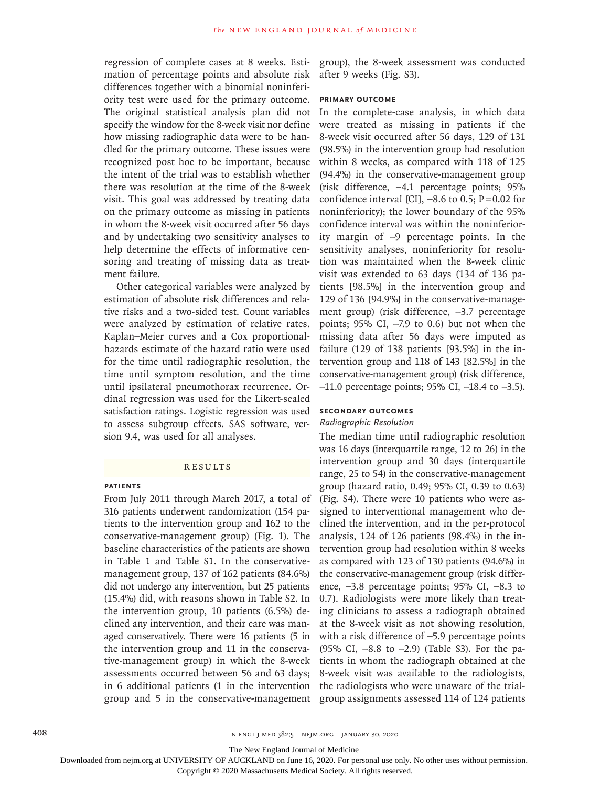regression of complete cases at 8 weeks. Estimation of percentage points and absolute risk differences together with a binomial noninferiority test were used for the primary outcome. The original statistical analysis plan did not specify the window for the 8-week visit nor define how missing radiographic data were to be handled for the primary outcome. These issues were recognized post hoc to be important, because the intent of the trial was to establish whether there was resolution at the time of the 8-week visit. This goal was addressed by treating data on the primary outcome as missing in patients in whom the 8-week visit occurred after 56 days and by undertaking two sensitivity analyses to help determine the effects of informative censoring and treating of missing data as treatment failure.

Other categorical variables were analyzed by estimation of absolute risk differences and relative risks and a two-sided test. Count variables were analyzed by estimation of relative rates. Kaplan–Meier curves and a Cox proportionalhazards estimate of the hazard ratio were used for the time until radiographic resolution, the time until symptom resolution, and the time until ipsilateral pneumothorax recurrence. Ordinal regression was used for the Likert-scaled satisfaction ratings. Logistic regression was used to assess subgroup effects. SAS software, version 9.4, was used for all analyses.

#### **RESULTS**

#### **Patients**

From July 2011 through March 2017, a total of 316 patients underwent randomization (154 patients to the intervention group and 162 to the conservative-management group) (Fig. 1). The baseline characteristics of the patients are shown in Table 1 and Table S1. In the conservativemanagement group, 137 of 162 patients (84.6%) did not undergo any intervention, but 25 patients (15.4%) did, with reasons shown in Table S2. In the intervention group, 10 patients (6.5%) declined any intervention, and their care was managed conservatively. There were 16 patients (5 in the intervention group and 11 in the conservative-management group) in which the 8-week assessments occurred between 56 and 63 days; in 6 additional patients (1 in the intervention group and 5 in the conservative-management

group), the 8-week assessment was conducted after 9 weeks (Fig. S3).

#### **Primary Outcome**

In the complete-case analysis, in which data were treated as missing in patients if the 8-week visit occurred after 56 days, 129 of 131 (98.5%) in the intervention group had resolution within 8 weeks, as compared with 118 of 125 (94.4%) in the conservative-management group (risk difference, −4.1 percentage points; 95% confidence interval [CI],  $-8.6$  to 0.5; P=0.02 for noninferiority); the lower boundary of the 95% confidence interval was within the noninferiority margin of −9 percentage points. In the sensitivity analyses, noninferiority for resolution was maintained when the 8-week clinic visit was extended to 63 days (134 of 136 patients [98.5%] in the intervention group and 129 of 136 [94.9%] in the conservative-management group) (risk difference, −3.7 percentage points; 95% CI, −7.9 to 0.6) but not when the missing data after 56 days were imputed as failure (129 of 138 patients [93.5%] in the intervention group and 118 of 143 [82.5%] in the conservative-management group) (risk difference, −11.0 percentage points; 95% CI, −18.4 to −3.5).

#### **Secondary Outcomes**

#### *Radiographic Resolution*

The median time until radiographic resolution was 16 days (interquartile range, 12 to 26) in the intervention group and 30 days (interquartile range, 25 to 54) in the conservative-management group (hazard ratio, 0.49; 95% CI, 0.39 to 0.63) (Fig. S4). There were 10 patients who were assigned to interventional management who declined the intervention, and in the per-protocol analysis, 124 of 126 patients (98.4%) in the intervention group had resolution within 8 weeks as compared with 123 of 130 patients (94.6%) in the conservative-management group (risk difference, −3.8 percentage points; 95% CI, −8.3 to 0.7). Radiologists were more likely than treating clinicians to assess a radiograph obtained at the 8-week visit as not showing resolution, with a risk difference of −5.9 percentage points (95% CI, −8.8 to −2.9) (Table S3). For the patients in whom the radiograph obtained at the 8-week visit was available to the radiologists, the radiologists who were unaware of the trialgroup assignments assessed 114 of 124 patients

The New England Journal of Medicine

Downloaded from nejm.org at UNIVERSITY OF AUCKLAND on June 16, 2020. For personal use only. No other uses without permission.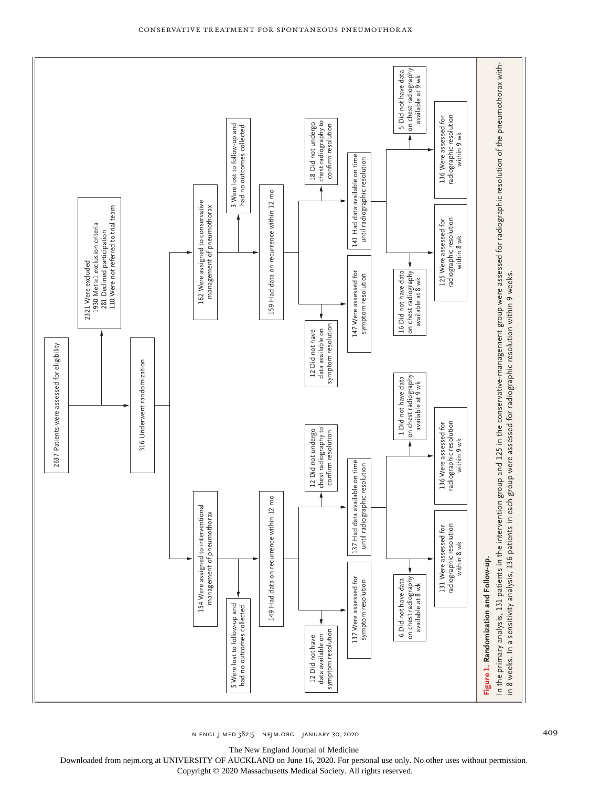

Conservative Treatment for Spontaneous Pneumothor ax

n engl j med 382;5 nejm.org January 30, 2020 409

The New England Journal of Medicine

Downloaded from nejm.org at UNIVERSITY OF AUCKLAND on June 16, 2020. For personal use only. No other uses without permission.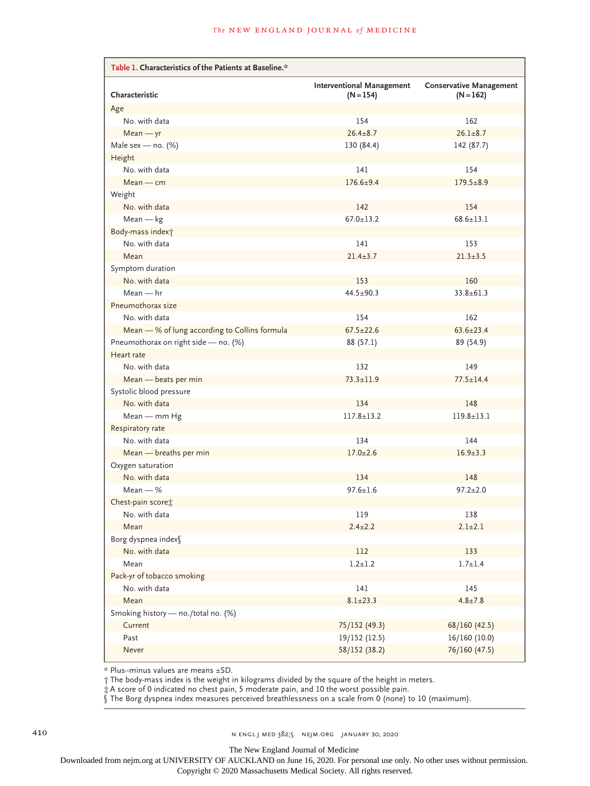| Table 1. Characteristics of the Patients at Baseline.* |                                                 |                                               |  |  |  |
|--------------------------------------------------------|-------------------------------------------------|-----------------------------------------------|--|--|--|
| Characteristic                                         | <b>Interventional Management</b><br>$(N = 154)$ | <b>Conservative Management</b><br>$(N = 162)$ |  |  |  |
| Age                                                    |                                                 |                                               |  |  |  |
| No. with data                                          | 154                                             | 162                                           |  |  |  |
| $Mean - yr$                                            | $26.4 \pm 8.7$                                  | $26.1 + 8.7$                                  |  |  |  |
| Male sex - no. $(\%)$                                  | 130 (84.4)                                      | 142 (87.7)                                    |  |  |  |
| Height                                                 |                                                 |                                               |  |  |  |
| No. with data                                          | 141                                             | 154                                           |  |  |  |
| $Mean$ – $cm$                                          | $176.6 + 9.4$                                   | $179.5 \pm 8.9$                               |  |  |  |
| Weight                                                 |                                                 |                                               |  |  |  |
| No. with data                                          | 142                                             | 154                                           |  |  |  |
| $Mean - kg$                                            | $67.0 \pm 13.2$                                 | $68.6 \pm 13.1$                               |  |  |  |
| Body-mass index <sup>+</sup>                           |                                                 |                                               |  |  |  |
| No. with data                                          | 141                                             | 153                                           |  |  |  |
| Mean                                                   | $21.4 \pm 3.7$                                  | $21.3 \pm 3.5$                                |  |  |  |
| Symptom duration                                       |                                                 |                                               |  |  |  |
| No. with data                                          | 153                                             | 160                                           |  |  |  |
| $Mean - hr$                                            | $44.5 + 90.3$                                   | $33.8 \pm 61.3$                               |  |  |  |
| Pneumothorax size                                      |                                                 |                                               |  |  |  |
| No. with data                                          | 154                                             | 162                                           |  |  |  |
| Mean - % of lung according to Collins formula          | $67.5 \pm 22.6$                                 | $63.6 \pm 23.4$                               |  |  |  |
| Pneumothorax on right side - no. (%)                   | 88 (57.1)                                       | 89 (54.9)                                     |  |  |  |
| Heart rate                                             |                                                 |                                               |  |  |  |
| No. with data                                          | 132                                             | 149                                           |  |  |  |
| Mean - beats per min                                   | $73.3 \pm 11.9$                                 | $77.5 \pm 14.4$                               |  |  |  |
| Systolic blood pressure                                |                                                 |                                               |  |  |  |
| No. with data                                          | 134                                             | 148                                           |  |  |  |
| Mean - mm Hg                                           | $117.8 \pm 13.2$                                | $119.8 \pm 13.1$                              |  |  |  |
| Respiratory rate                                       |                                                 |                                               |  |  |  |
| No. with data                                          | 134                                             | 144                                           |  |  |  |
| Mean - breaths per min                                 | $17.0 \pm 2.6$                                  | $16.9 \pm 3.3$                                |  |  |  |
| Oxygen saturation                                      |                                                 |                                               |  |  |  |
| No. with data                                          | 134                                             | 148                                           |  |  |  |
| $Mean - %$                                             | $97.6 \pm 1.6$                                  | $97.2 \pm 2.0$                                |  |  |  |
| Chest-pain score;                                      |                                                 |                                               |  |  |  |
| No. with data                                          | 119                                             | 138                                           |  |  |  |
| Mean                                                   | $2.4 \pm 2.2$                                   | $2.1 \pm 2.1$                                 |  |  |  |
| Borg dyspnea index§                                    |                                                 |                                               |  |  |  |
| No. with data                                          | $112\,$                                         | 133                                           |  |  |  |
| Mean                                                   | $1.2 + 1.2$                                     | $1.7 + 1.4$                                   |  |  |  |
| Pack-yr of tobacco smoking                             |                                                 |                                               |  |  |  |
| No. with data                                          | 141                                             | 145                                           |  |  |  |
| Mean                                                   | $8.1 \pm 23.3$                                  | $4.8 \pm 7.8$                                 |  |  |  |
| Smoking history - no./total no. (%)                    |                                                 |                                               |  |  |  |
| Current                                                | 75/152 (49.3)                                   | 68/160 (42.5)                                 |  |  |  |
| Past                                                   | 19/152 (12.5)                                   | 16/160 (10.0)                                 |  |  |  |
| Never                                                  | 58/152 (38.2)                                   | 76/160 (47.5)                                 |  |  |  |

\* Plus–minus values are means ±SD.

† The body-mass index is the weight in kilograms divided by the square of the height in meters.

‡ A score of 0 indicated no chest pain, 5 moderate pain, and 10 the worst possible pain.

§ The Borg dyspnea index measures perceived breathlessness on a scale from 0 (none) to 10 (maximum).

The New England Journal of Medicine

Downloaded from nejm.org at UNIVERSITY OF AUCKLAND on June 16, 2020. For personal use only. No other uses without permission.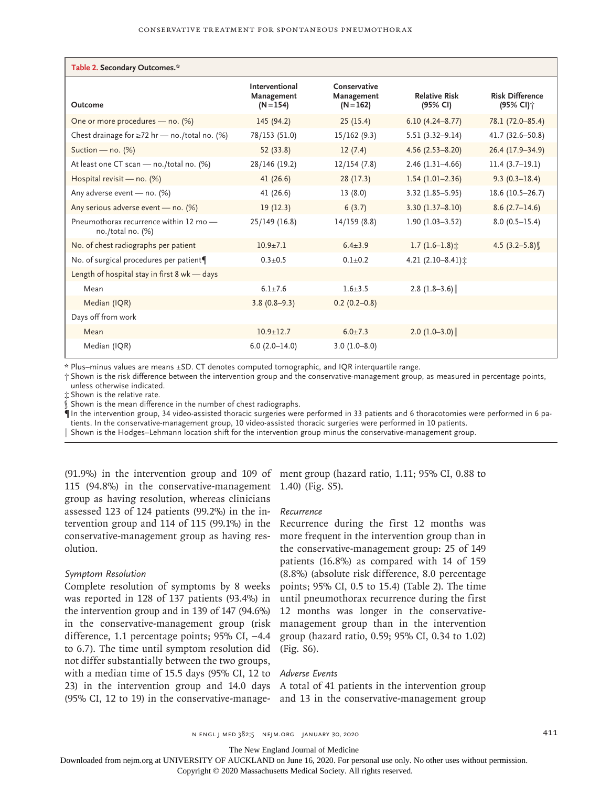| Table 2. Secondary Outcomes.*                                 |                                             |                                           |                                  |                                                 |  |
|---------------------------------------------------------------|---------------------------------------------|-------------------------------------------|----------------------------------|-------------------------------------------------|--|
| Outcome                                                       | Interventional<br>Management<br>$(N = 154)$ | Conservative<br>Management<br>$(N = 162)$ | <b>Relative Risk</b><br>(95% CI) | <b>Risk Difference</b><br>(95% CI) <sup>+</sup> |  |
| One or more procedures - no. (%)                              | 145 (94.2)                                  | 25(15.4)                                  | $6.10(4.24 - 8.77)$              | 78.1 (72.0-85.4)                                |  |
| Chest drainage for $\geq$ 72 hr — no./total no. (%)           | 78/153 (51.0)                               | 15/162(9.3)                               | $5.51(3.32 - 9.14)$              | 41.7 (32.6-50.8)                                |  |
| Suction - no. $(\%)$                                          | 52 (33.8)                                   | 12(7.4)                                   | $4.56(2.53 - 8.20)$              | 26.4 (17.9-34.9)                                |  |
| At least one CT scan - no./total no. (%)                      | 28/146 (19.2)                               | 12/154(7.8)                               | $2.46(1.31-4.66)$                | $11.4(3.7-19.1)$                                |  |
| Hospital revisit - no. (%)                                    | 41(26.6)                                    | 28(17.3)                                  | $1.54(1.01-2.36)$                | $9.3(0.3-18.4)$                                 |  |
| Any adverse event - no. (%)                                   | 41(26.6)                                    | 13(8.0)                                   | $3.32(1.85 - 5.95)$              | $18.6(10.5-26.7)$                               |  |
| Any serious adverse event - no. (%)                           | 19(12.3)                                    | 6(3.7)                                    | $3.30(1.37 - 8.10)$              | $8.6(2.7-14.6)$                                 |  |
| Pneumothorax recurrence within 12 mo -<br>no./total no. $(%)$ | 25/149(16.8)                                | 14/159(8.8)                               | $1.90(1.03 - 3.52)$              | $8.0(0.5 - 15.4)$                               |  |
| No. of chest radiographs per patient                          | $10.9 + 7.1$                                | $6.4 + 3.9$                               | $1.7(1.6-1.8)$ :                 | 4.5 $(3.2 - 5.8)$                               |  |
| No. of surgical procedures per patient¶                       | $0.3 + 0.5$                                 | $0.1 \pm 0.2$                             | 4.21 $(2.10-8.41)$ :             |                                                 |  |
| Length of hospital stay in first 8 wk - days                  |                                             |                                           |                                  |                                                 |  |
| Mean                                                          | $6.1 \pm 7.6$                               | $1.6 + 3.5$                               | 2.8 $(1.8-3.6)$                  |                                                 |  |
| Median (IQR)                                                  | $3.8(0.8-9.3)$                              | $0.2(0.2-0.8)$                            |                                  |                                                 |  |
| Days off from work                                            |                                             |                                           |                                  |                                                 |  |
| Mean                                                          | $10.9 \pm 12.7$                             | $6.0+7.3$                                 | $2.0$ (1.0-3.0)                  |                                                 |  |
| Median (IQR)                                                  | $6.0(2.0-14.0)$                             | $3.0(1.0 - 8.0)$                          |                                  |                                                 |  |

\* Plus–minus values are means ±SD. CT denotes computed tomographic, and IQR interquartile range.

† Shown is the risk difference between the intervention group and the conservative-management group, as measured in percentage points, unless otherwise indicated.

‡ Shown is the relative rate.

 $\dot{\S}$  Shown is the mean difference in the number of chest radiographs.

¶ In the intervention group, 34 video-assisted thoracic surgeries were performed in 33 patients and 6 thoracotomies were performed in 6 pa‑ tients. In the conservative-management group, 10 video-assisted thoracic surgeries were performed in 10 patients.

‖ Shown is the Hodges–Lehmann location shift for the intervention group minus the conservative-management group.

115 (94.8%) in the conservative-management 1.40) (Fig. S5). group as having resolution, whereas clinicians assessed 123 of 124 patients (99.2%) in the intervention group and 114 of 115 (99.1%) in the conservative-management group as having resolution.

#### *Symptom Resolution*

Complete resolution of symptoms by 8 weeks was reported in 128 of 137 patients (93.4%) in the intervention group and in 139 of 147 (94.6%) in the conservative-management group (risk difference, 1.1 percentage points; 95% CI, −4.4 to 6.7). The time until symptom resolution did (Fig. S6). not differ substantially between the two groups, with a median time of 15.5 days (95% CI, 12 to *Adverse Events* 23) in the intervention group and 14.0 days A total of 41 patients in the intervention group (95% CI, 12 to 19) in the conservative-manage-

(91.9%) in the intervention group and 109 of ment group (hazard ratio, 1.11; 95% CI, 0.88 to

#### *Recurrence*

Recurrence during the first 12 months was more frequent in the intervention group than in the conservative-management group: 25 of 149 patients (16.8%) as compared with 14 of 159 (8.8%) (absolute risk difference, 8.0 percentage points; 95% CI, 0.5 to 15.4) (Table 2). The time until pneumothorax recurrence during the first 12 months was longer in the conservativemanagement group than in the intervention group (hazard ratio, 0.59; 95% CI, 0.34 to 1.02)

and 13 in the conservative-management group

The New England Journal of Medicine

Downloaded from nejm.org at UNIVERSITY OF AUCKLAND on June 16, 2020. For personal use only. No other uses without permission.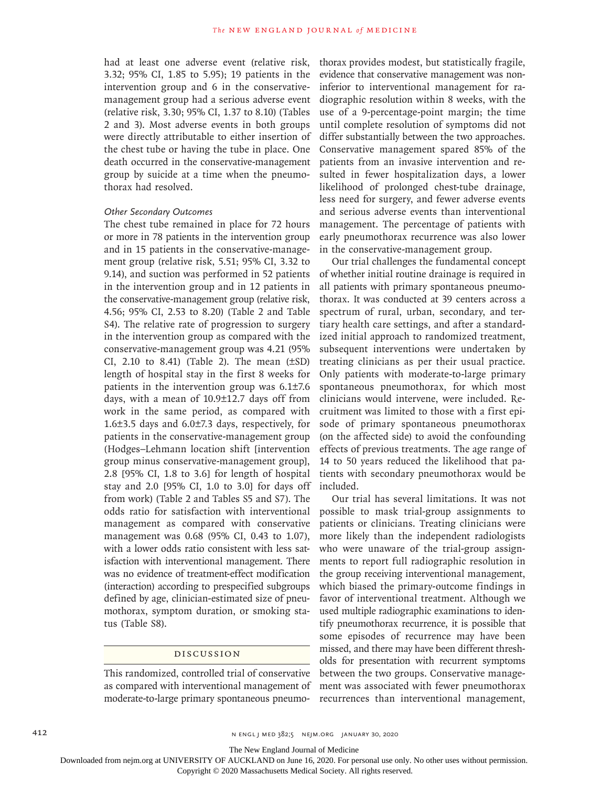had at least one adverse event (relative risk, 3.32; 95% CI, 1.85 to 5.95); 19 patients in the intervention group and 6 in the conservativemanagement group had a serious adverse event (relative risk, 3.30; 95% CI, 1.37 to 8.10) (Tables 2 and 3). Most adverse events in both groups were directly attributable to either insertion of the chest tube or having the tube in place. One death occurred in the conservative-management group by suicide at a time when the pneumothorax had resolved.

#### *Other Secondary Outcomes*

The chest tube remained in place for 72 hours or more in 78 patients in the intervention group and in 15 patients in the conservative-management group (relative risk, 5.51; 95% CI, 3.32 to 9.14), and suction was performed in 52 patients in the intervention group and in 12 patients in the conservative-management group (relative risk, 4.56; 95% CI, 2.53 to 8.20) (Table 2 and Table S4). The relative rate of progression to surgery in the intervention group as compared with the conservative-management group was 4.21 (95% CI, 2.10 to 8.41) (Table 2). The mean  $(\pm SD)$ length of hospital stay in the first 8 weeks for patients in the intervention group was 6.1±7.6 days, with a mean of 10.9±12.7 days off from work in the same period, as compared with 1.6±3.5 days and 6.0±7.3 days, respectively, for patients in the conservative-management group (Hodges–Lehmann location shift [intervention group minus conservative-management group], 2.8 [95% CI, 1.8 to 3.6] for length of hospital stay and 2.0 [95% CI, 1.0 to 3.0] for days off from work) (Table 2 and Tables S5 and S7). The odds ratio for satisfaction with interventional management as compared with conservative management was 0.68 (95% CI, 0.43 to 1.07), with a lower odds ratio consistent with less satisfaction with interventional management. There was no evidence of treatment-effect modification (interaction) according to prespecified subgroups defined by age, clinician-estimated size of pneumothorax, symptom duration, or smoking status (Table S8).

#### Discussion

This randomized, controlled trial of conservative moderate-to-large primary spontaneous pneumothorax provides modest, but statistically fragile, evidence that conservative management was noninferior to interventional management for radiographic resolution within 8 weeks, with the use of a 9-percentage-point margin; the time until complete resolution of symptoms did not differ substantially between the two approaches. Conservative management spared 85% of the patients from an invasive intervention and resulted in fewer hospitalization days, a lower likelihood of prolonged chest-tube drainage, less need for surgery, and fewer adverse events and serious adverse events than interventional management. The percentage of patients with early pneumothorax recurrence was also lower in the conservative-management group.

Our trial challenges the fundamental concept of whether initial routine drainage is required in all patients with primary spontaneous pneumothorax. It was conducted at 39 centers across a spectrum of rural, urban, secondary, and tertiary health care settings, and after a standardized initial approach to randomized treatment, subsequent interventions were undertaken by treating clinicians as per their usual practice. Only patients with moderate-to-large primary spontaneous pneumothorax, for which most clinicians would intervene, were included. Recruitment was limited to those with a first episode of primary spontaneous pneumothorax (on the affected side) to avoid the confounding effects of previous treatments. The age range of 14 to 50 years reduced the likelihood that patients with secondary pneumothorax would be included.

as compared with interventional management of ment was associated with fewer pneumothorax Our trial has several limitations. It was not possible to mask trial-group assignments to patients or clinicians. Treating clinicians were more likely than the independent radiologists who were unaware of the trial-group assignments to report full radiographic resolution in the group receiving interventional management, which biased the primary-outcome findings in favor of interventional treatment. Although we used multiple radiographic examinations to identify pneumothorax recurrence, it is possible that some episodes of recurrence may have been missed, and there may have been different thresholds for presentation with recurrent symptoms between the two groups. Conservative managerecurrences than interventional management,

412 **https://width/2020.org/2020** N ENGL J MED 382;5 NEIM.ORG JANUARY 30, 2020

The New England Journal of Medicine

Downloaded from nejm.org at UNIVERSITY OF AUCKLAND on June 16, 2020. For personal use only. No other uses without permission.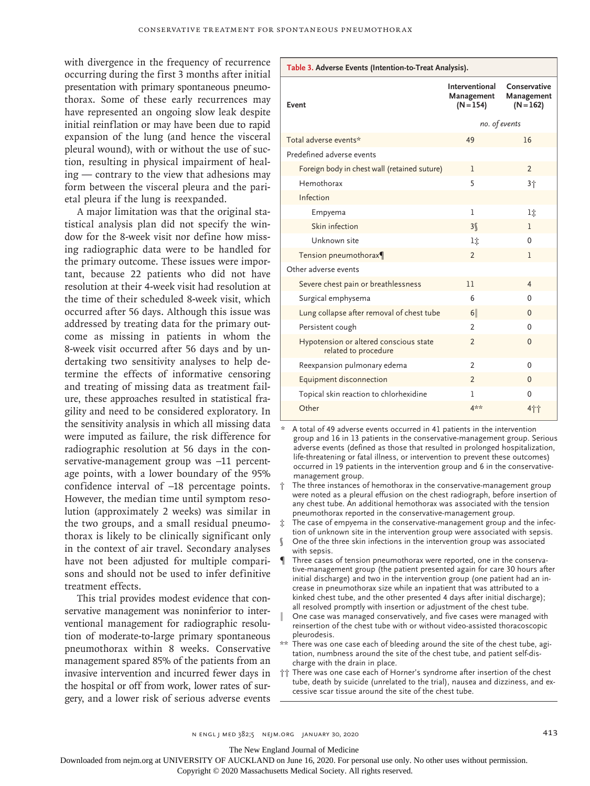with divergence in the frequency of recurrence occurring during the first 3 months after initial presentation with primary spontaneous pneumothorax. Some of these early recurrences may have represented an ongoing slow leak despite initial reinflation or may have been due to rapid expansion of the lung (and hence the visceral pleural wound), with or without the use of suction, resulting in physical impairment of healing — contrary to the view that adhesions may form between the visceral pleura and the parietal pleura if the lung is reexpanded.

A major limitation was that the original statistical analysis plan did not specify the window for the 8-week visit nor define how missing radiographic data were to be handled for the primary outcome. These issues were important, because 22 patients who did not have resolution at their 4-week visit had resolution at the time of their scheduled 8-week visit, which occurred after 56 days. Although this issue was addressed by treating data for the primary outcome as missing in patients in whom the 8-week visit occurred after 56 days and by undertaking two sensitivity analyses to help determine the effects of informative censoring and treating of missing data as treatment failure, these approaches resulted in statistical fragility and need to be considered exploratory. In the sensitivity analysis in which all missing data were imputed as failure, the risk difference for radiographic resolution at 56 days in the conservative-management group was -11 percentage points, with a lower boundary of the 95% confidence interval of −18 percentage points. However, the median time until symptom resolution (approximately 2 weeks) was similar in the two groups, and a small residual pneumothorax is likely to be clinically significant only in the context of air travel. Secondary analyses have not been adjusted for multiple comparisons and should not be used to infer definitive treatment effects.

This trial provides modest evidence that conservative management was noninferior to interventional management for radiographic resolution of moderate-to-large primary spontaneous pneumothorax within 8 weeks. Conservative management spared 85% of the patients from an invasive intervention and incurred fewer days in the hospital or off from work, lower rates of surgery, and a lower risk of serious adverse events

| Event                                                          | Interventional<br>Management<br>$(N = 154)$ | Conservative<br>Management<br>$(N = 162)$ |
|----------------------------------------------------------------|---------------------------------------------|-------------------------------------------|
|                                                                | no. of events                               |                                           |
| Total adverse events*                                          | 49                                          | 16                                        |
| Predefined adverse events                                      |                                             |                                           |
| Foreign body in chest wall (retained suture)                   | 1                                           | $\overline{2}$                            |
| Hemothorax                                                     | 5                                           | 3个                                        |
| Infection                                                      |                                             |                                           |
| Empyema                                                        | 1                                           | li                                        |
| Skin infection                                                 | 3 <sup>6</sup>                              | 1                                         |
| Unknown site                                                   | lî                                          | $\Omega$                                  |
| Tension pneumothorax¶                                          | $\overline{2}$                              | 1                                         |
| Other adverse events                                           |                                             |                                           |
| Severe chest pain or breathlessness                            | 11                                          | $\overline{4}$                            |
| Surgical emphysema                                             | 6                                           | $\Omega$                                  |
| Lung collapse after removal of chest tube                      | 6                                           | $\mathbf{0}$                              |
| Persistent cough                                               | $\mathfrak{p}$                              | $\Omega$                                  |
| Hypotension or altered conscious state<br>related to procedure | $\overline{2}$                              | $\Omega$                                  |
| Reexpansion pulmonary edema                                    | $\overline{2}$                              | $\mathbf{0}$                              |
| Equipment disconnection                                        | $\mathfrak{p}$                              | $\Omega$                                  |
| Topical skin reaction to chlorhexidine                         | 1                                           | $\mathbf 0$                               |
| Other                                                          | 4**                                         | 4††                                       |

**Table 3. Adverse Events (Intention-to-Treat Analysis).**

A total of 49 adverse events occurred in 41 patients in the intervention group and 16 in 13 patients in the conservative-management group. Serious adverse events (defined as those that resulted in prolonged hospitalization, life-threatening or fatal illness, or intervention to prevent these outcomes) occurred in 19 patients in the intervention group and 6 in the conservativemanagement group.

- The three instances of hemothorax in the conservative-management group were noted as a pleural effusion on the chest radiograph, before insertion of any chest tube. An additional hemothorax was associated with the tension pneumothorax reported in the conservative-management group.
- The case of empyema in the conservative-management group and the infection of unknown site in the intervention group were associated with sepsis.
- One of the three skin infections in the intervention group was associated with sepsis.
- Three cases of tension pneumothorax were reported, one in the conservative-management group (the patient presented again for care 30 hours after initial discharge) and two in the intervention group (one patient had an increase in pneumothorax size while an inpatient that was attributed to a kinked chest tube, and the other presented 4 days after initial discharge); all resolved promptly with insertion or adjustment of the chest tube.
- One case was managed conservatively, and five cases were managed with reinsertion of the chest tube with or without video-assisted thoracoscopic pleurodesis.
- \*\* There was one case each of bleeding around the site of the chest tube, agitation, numbness around the site of the chest tube, and patient self-discharge with the drain in place.
- †† There was one case each of Horner's syndrome after insertion of the chest tube, death by suicide (unrelated to the trial), nausea and dizziness, and excessive scar tissue around the site of the chest tube.

n engl j med 382;5 nejm.org January 30, 2020 413

The New England Journal of Medicine

Downloaded from nejm.org at UNIVERSITY OF AUCKLAND on June 16, 2020. For personal use only. No other uses without permission.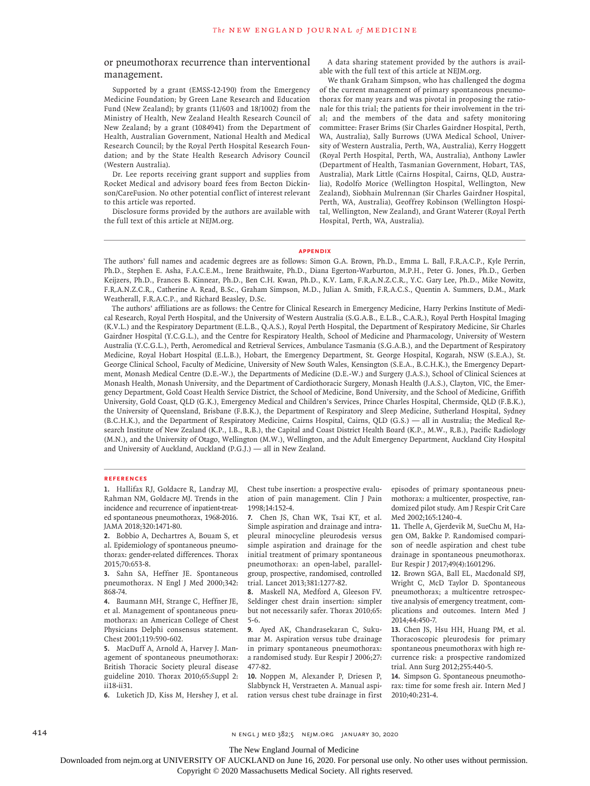#### or pneumothorax recurrence than interventional management.

Supported by a grant (EMSS-12-190) from the Emergency Medicine Foundation; by Green Lane Research and Education Fund (New Zealand); by grants (11/603 and 18/1002) from the Ministry of Health, New Zealand Health Research Council of New Zealand; by a grant (1084941) from the Department of Health, Australian Government, National Health and Medical Research Council; by the Royal Perth Hospital Research Foundation; and by the State Health Research Advisory Council (Western Australia).

Dr. Lee reports receiving grant support and supplies from Rocket Medical and advisory board fees from Becton Dickinson/CareFusion. No other potential conflict of interest relevant to this article was reported.

Disclosure forms provided by the authors are available with the full text of this article at NEJM.org.

A data sharing statement provided by the authors is available with the full text of this article at NEJM.org.

We thank Graham Simpson, who has challenged the dogma of the current management of primary spontaneous pneumothorax for many years and was pivotal in proposing the rationale for this trial; the patients for their involvement in the trial; and the members of the data and safety monitoring committee: Fraser Brims (Sir Charles Gairdner Hospital, Perth, WA, Australia), Sally Burrows (UWA Medical School, University of Western Australia, Perth, WA, Australia), Kerry Hoggett (Royal Perth Hospital, Perth, WA, Australia), Anthony Lawler (Department of Health, Tasmanian Government, Hobart, TAS, Australia), Mark Little (Cairns Hospital, Cairns, QLD, Australia), Rodolfo Morice (Wellington Hospital, Wellington, New Zealand), Siobhain Mulrennan (Sir Charles Gairdner Hospital, Perth, WA, Australia), Geoffrey Robinson (Wellington Hospital, Wellington, New Zealand), and Grant Waterer (Royal Perth Hospital, Perth, WA, Australia).

#### **Appendix**

The authors' full names and academic degrees are as follows: Simon G.A. Brown, Ph.D., Emma L. Ball, F.R.A.C.P., Kyle Perrin, Ph.D., Stephen E. Asha, F.A.C.E.M., Irene Braithwaite, Ph.D., Diana Egerton-Warburton, M.P.H., Peter G. Jones, Ph.D., Gerben Keijzers, Ph.D., Frances B. Kinnear, Ph.D., Ben C.H. Kwan, Ph.D., K.V. Lam, F.R.A.N.Z.C.R., Y.C. Gary Lee, Ph.D., Mike Nowitz, F.R.A.N.Z.C.R., Catherine A. Read, B.Sc., Graham Simpson, M.D., Julian A. Smith, F.R.A.C.S., Quentin A. Summers, D.M., Mark Weatherall, F.R.A.C.P., and Richard Beasley, D.Sc.

The authors' affiliations are as follows: the Centre for Clinical Research in Emergency Medicine, Harry Perkins Institute of Medical Research, Royal Perth Hospital, and the University of Western Australia (S.G.A.B., E.L.B., C.A.R.), Royal Perth Hospital Imaging (K.V.L.) and the Respiratory Department (E.L.B., Q.A.S.), Royal Perth Hospital, the Department of Respiratory Medicine, Sir Charles Gairdner Hospital (Y.C.G.L.), and the Centre for Respiratory Health, School of Medicine and Pharmacology, University of Western Australia (Y.C.G.L.), Perth, Aeromedical and Retrieval Services, Ambulance Tasmania (S.G.A.B.), and the Department of Respiratory Medicine, Royal Hobart Hospital (E.L.B.), Hobart, the Emergency Department, St. George Hospital, Kogarah, NSW (S.E.A.), St. George Clinical School, Faculty of Medicine, University of New South Wales, Kensington (S.E.A., B.C.H.K.), the Emergency Department, Monash Medical Centre (D.E.-W.), the Departments of Medicine (D.E.-W.) and Surgery (J.A.S.), School of Clinical Sciences at Monash Health, Monash University, and the Department of Cardiothoracic Surgery, Monash Health (J.A.S.), Clayton, VIC, the Emergency Department, Gold Coast Health Service District, the School of Medicine, Bond University, and the School of Medicine, Griffith University, Gold Coast, QLD (G.K.), Emergency Medical and Children's Services, Prince Charles Hospital, Chermside, QLD (F.B.K.), the University of Queensland, Brisbane (F.B.K.), the Department of Respiratory and Sleep Medicine, Sutherland Hospital, Sydney (B.C.H.K.), and the Department of Respiratory Medicine, Cairns Hospital, Cairns, QLD (G.S.) — all in Australia; the Medical Research Institute of New Zealand (K.P., I.B., R.B.), the Capital and Coast District Health Board (K.P., M.W., R.B.), Pacific Radiology (M.N.), and the University of Otago, Wellington (M.W.), Wellington, and the Adult Emergency Department, Auckland City Hospital and University of Auckland, Auckland (P.G.J.) — all in New Zealand.

#### **References**

**1.** Hallifax RJ, Goldacre R, Landray MJ, Rahman NM, Goldacre MJ. Trends in the incidence and recurrence of inpatient-treated spontaneous pneumothorax, 1968-2016. JAMA 2018;320:1471-80.

**2.** Bobbio A, Dechartres A, Bouam S, et al. Epidemiology of spontaneous pneumothorax: gender-related differences. Thorax 2015;70:653-8.

**3.** Sahn SA, Heffner JE. Spontaneous pneumothorax. N Engl J Med 2000;342: 868-74.

**4.** Baumann MH, Strange C, Heffner JE, et al. Management of spontaneous pneumothorax: an American College of Chest Physicians Delphi consensus statement. Chest 2001;119:590-602.

**5.** MacDuff A, Arnold A, Harvey J. Management of spontaneous pneumothorax: British Thoracic Society pleural disease guideline 2010. Thorax 2010;65:Suppl 2: ii18-ii31.

**6.** Luketich JD, Kiss M, Hershey J, et al.

Chest tube insertion: a prospective evaluation of pain management. Clin J Pain 1998;14:152-4.

**7.** Chen JS, Chan WK, Tsai KT, et al. Simple aspiration and drainage and intrapleural minocycline pleurodesis versus simple aspiration and drainage for the initial treatment of primary spontaneous pneumothorax: an open-label, parallelgroup, prospective, randomised, controlled trial. Lancet 2013;381:1277-82.

**8.** Maskell NA, Medford A, Gleeson FV. Seldinger chest drain insertion: simpler but not necessarily safer. Thorax 2010;65: 5-6.

**9.** Ayed AK, Chandrasekaran C, Sukumar M. Aspiration versus tube drainage in primary spontaneous pneumothorax: a randomised study. Eur Respir J 2006;27: 477-82.

**10.** Noppen M, Alexander P, Driesen P, Slabbynck H, Verstraeten A. Manual aspiration versus chest tube drainage in first episodes of primary spontaneous pneumothorax: a multicenter, prospective, randomized pilot study. Am J Respir Crit Care Med 2002;165:1240-4.

**11.** Thelle A, Gjerdevik M, SueChu M, Hagen OM, Bakke P. Randomised comparison of needle aspiration and chest tube drainage in spontaneous pneumothorax. Eur Respir J 2017;49(4):1601296.

**12.** Brown SGA, Ball EL, Macdonald SPJ, Wright C, McD Taylor D. Spontaneous pneumothorax; a multicentre retrospective analysis of emergency treatment, complications and outcomes. Intern Med J 2014;44:450-7.

**13.** Chen JS, Hsu HH, Huang PM, et al. Thoracoscopic pleurodesis for primary spontaneous pneumothorax with high recurrence risk: a prospective randomized trial. Ann Surg 2012;255:440-5.

**14.** Simpson G. Spontaneous pneumothorax: time for some fresh air. Intern Med J 2010;40:231-4.

414 n engl j med 382;5 nejm.org January 30, 2020

The New England Journal of Medicine

Downloaded from nejm.org at UNIVERSITY OF AUCKLAND on June 16, 2020. For personal use only. No other uses without permission.